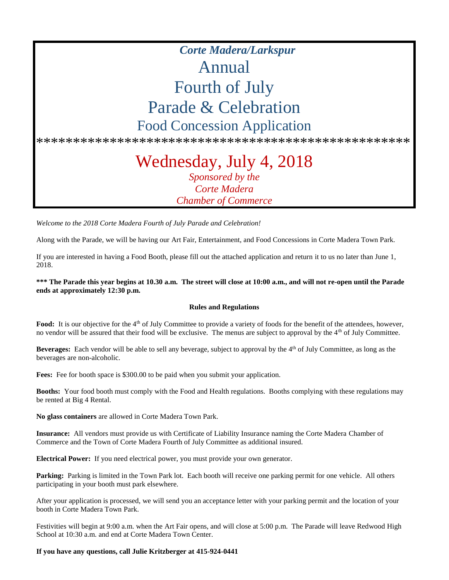# *Corte Madera/Larkspur* Annual Fourth of July Parade & Celebration Food Concession Application

\*\*\*\*\*\*\*\*\*\*\*\*\*\*\*\*\*\*\*\*\*\*\*\*\*\*\*\*\*\*\*\*\*\*\*\*\*\*\*\*\*\*\*\*\*\*\*\*\*\*\*

# Wednesday, July 4, 2018 *Sponsored by the Corte Madera Chamber of Commerce*

*Welcome to the 2018 Corte Madera Fourth of July Parade and Celebration!*

Along with the Parade, we will be having our Art Fair, Entertainment, and Food Concessions in Corte Madera Town Park.

If you are interested in having a Food Booth, please fill out the attached application and return it to us no later than June 1, 2018.

#### **\*\*\* The Parade this year begins at 10.30 a.m. The street will close at 10:00 a.m., and will not re-open until the Parade ends at approximately 12:30 p.m.**

#### **Rules and Regulations**

Food: It is our objective for the 4<sup>th</sup> of July Committee to provide a variety of foods for the benefit of the attendees, however, no vendor will be assured that their food will be exclusive. The menus are subject to approval by the  $4<sup>th</sup>$  of July Committee.

**Beverages:** Each vendor will be able to sell any beverage, subject to approval by the 4<sup>th</sup> of July Committee, as long as the beverages are non-alcoholic.

**Fees:** Fee for booth space is \$300.00 to be paid when you submit your application.

**Booths:** Your food booth must comply with the Food and Health regulations. Booths complying with these regulations may be rented at Big 4 Rental.

**No glass containers** are allowed in Corte Madera Town Park.

**Insurance:** All vendors must provide us with Certificate of Liability Insurance naming the Corte Madera Chamber of Commerce and the Town of Corte Madera Fourth of July Committee as additional insured.

**Electrical Power:** If you need electrical power, you must provide your own generator.

Parking: Parking is limited in the Town Park lot. Each booth will receive one parking permit for one vehicle. All others participating in your booth must park elsewhere.

After your application is processed, we will send you an acceptance letter with your parking permit and the location of your booth in Corte Madera Town Park.

Festivities will begin at 9:00 a.m. when the Art Fair opens, and will close at 5:00 p.m. The Parade will leave Redwood High School at 10:30 a.m. and end at Corte Madera Town Center.

#### **If you have any questions, call Julie Kritzberger at 415-924-0441**